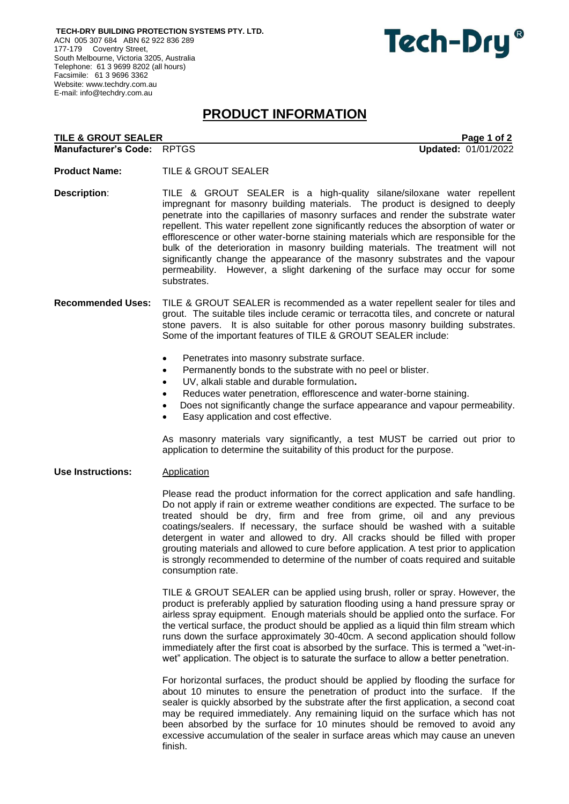**TECH-DRY BUILDING PROTECTION SYSTEMS PTY. LTD.** ACN 005 307 684 ABN 62 922 836 289 177-179 Coventry Street, South Melbourne, Victoria 3205, Australia Telephone: 61 3 9699 8202 (all hours) Facsimile: 61 3 9696 3362 Website: [www.techdry.com.au](http://www.techdry.com.au/) E-mail: [info@techdry.com.au](mailto:info@techdry.com.au)

# Tech-Dry<sup>®</sup>

# **PRODUCT INFORMATION**

| TILE & GROUT SEALER        | Page 1 of 2                |
|----------------------------|----------------------------|
| Manufacturer's Code: RPTGS | <b>Updated: 01/01/2022</b> |

**Product Name:** TILE & GROUT SEALER

**Description**: TILE & GROUT SEALER is a high-quality silane/siloxane water repellent impregnant for masonry building materials. The product is designed to deeply penetrate into the capillaries of masonry surfaces and render the substrate water repellent. This water repellent zone significantly reduces the absorption of water or efflorescence or other water-borne staining materials which are responsible for the bulk of the deterioration in masonry building materials. The treatment will not significantly change the appearance of the masonry substrates and the vapour permeability. However, a slight darkening of the surface may occur for some substrates.

## **Recommended Uses:** TILE & GROUT SEALER is recommended as a water repellent sealer for tiles and grout. The suitable tiles include ceramic or terracotta tiles, and concrete or natural stone pavers. It is also suitable for other porous masonry building substrates. Some of the important features of TILE & GROUT SEALER include:

- Penetrates into masonry substrate surface.
- Permanently bonds to the substrate with no peel or blister.
- UV, alkali stable and durable formulation**.**
- Reduces water penetration, efflorescence and water-borne staining.
- Does not significantly change the surface appearance and vapour permeability.
- Easy application and cost effective.

As masonry materials vary significantly, a test MUST be carried out prior to application to determine the suitability of this product for the purpose.

Use Instructions: **Application** 

Please read the product information for the correct application and safe handling. Do not apply if rain or extreme weather conditions are expected. The surface to be treated should be dry, firm and free from grime, oil and any previous coatings/sealers. If necessary, the surface should be washed with a suitable detergent in water and allowed to dry. All cracks should be filled with proper grouting materials and allowed to cure before application. A test prior to application is strongly recommended to determine of the number of coats required and suitable consumption rate.

TILE & GROUT SEALER can be applied using brush, roller or spray. However, the product is preferably applied by saturation flooding using a hand pressure spray or airless spray equipment. Enough materials should be applied onto the surface. For the vertical surface, the product should be applied as a liquid thin film stream which runs down the surface approximately 30-40cm. A second application should follow immediately after the first coat is absorbed by the surface. This is termed a "wet-inwet" application. The object is to saturate the surface to allow a better penetration.

For horizontal surfaces, the product should be applied by flooding the surface for about 10 minutes to ensure the penetration of product into the surface. If the sealer is quickly absorbed by the substrate after the first application, a second coat may be required immediately. Any remaining liquid on the surface which has not been absorbed by the surface for 10 minutes should be removed to avoid any excessive accumulation of the sealer in surface areas which may cause an uneven finish.